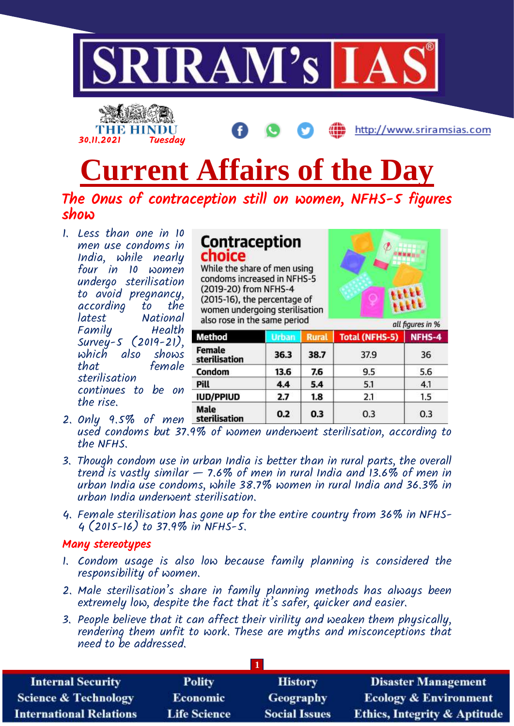

# **Current Affairs of the Day**

## The Onus of contraception still on women, NFHS-5 figures show

1. Less than one in 10 men use condoms in India, while nearly four in 10 women undergo sterilisation to avoid pregnancy, according<br>latest National Family Health Survey-5 (2019-21), which also shows that female sterilisation continues to be on the rise.

|        |  | Contraception |
|--------|--|---------------|
| choice |  |               |

While the share of men using condoms increased in NFHS-5 (2019-20) from NFHS-4 (2015-16), the percentage of women undergoing sterilisation also rose in the same period



|                         |              |              | uu nyures m 70        |        |  |
|-------------------------|--------------|--------------|-----------------------|--------|--|
| Method                  | <b>Urban</b> | <b>Rural</b> | <b>Total (NFHS-5)</b> | NFHS-4 |  |
| Female<br>sterilisation | 36.3         | 38.7         | 37.9                  | 36     |  |
| Condom                  | 13.6         | 7.6          | 9.5                   | 5.6    |  |
| Pill                    | 4.4          | 5.4          | 5.1                   | 4.1    |  |
| <b>IUD/PPIUD</b>        | 2.7          | 1.8          | 2.1                   | 1.5    |  |
| Male<br>sterilisation   | 0.2          | 0.3          | 0.3                   | 0.3    |  |

- 2. Only 9.5% of men used condoms but 37.9% of women underwent sterilisation, according to the NFHS.
- 3. Though condom use in urban India is better than in rural parts, the overall trend is vastly similar  $-$  7.6% of men in rural India and 13.6% of men in urban India use condoms, while 38.7% women in rural India and 36.3% in urban India underwent sterilisation.
- 4. Female sterilisation has gone up for the entire country from 36% in NFHS-4 (2015-16) to 37.9% in NFHS-5.

### Many stereotypes

- 1. Condom usage is also low because family planning is considered the responsibility of women.
- 2. Male sterilisation's share in family planning methods has always been extremely low, despite the fact that it's safer, quicker and easier.
- 3. People believe that it can affect their virility and weaken them physically, rendering them unfit to work. These are myths and misconceptions that need to be addressed.

| <b>Internal Security</b>        | <b>Polity</b>       | <b>History</b>       | <b>Disaster Management</b>              |
|---------------------------------|---------------------|----------------------|-----------------------------------------|
| <b>Science &amp; Technology</b> | Economic            | <b>Geography</b>     | <b>Ecology &amp; Environment</b>        |
| <b>International Relations</b>  | <b>Life Science</b> | <b>Social Issues</b> | <b>Ethics, Integrity &amp; Aptitude</b> |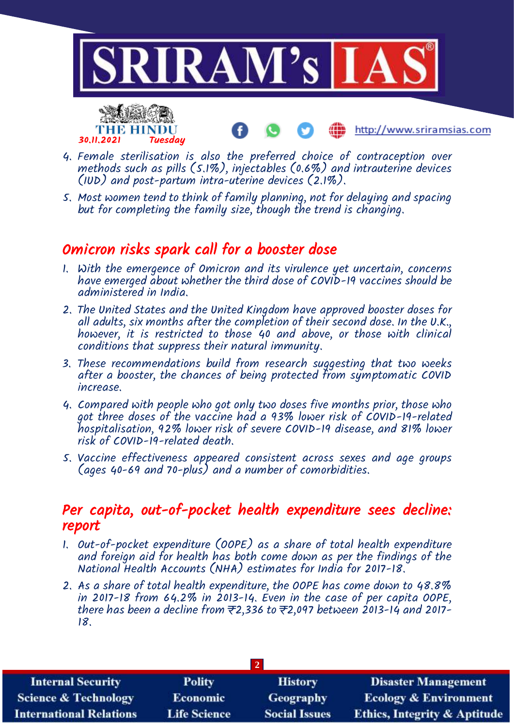

- 4. Female sterilisation is also the preferred choice of contraception over methods such as pills (5.1%), injectables (0.6%) and intrauterine devices (IUD) and post-partum intra-uterine devices (2.1%).
- 5. Most women tend to think of family planning, not for delaying and spacing but for completing the family size, though the trend is changing.

# Omicron risks spark call for a booster dose

30.11.2021 Tuesday

- 1. With the emergence of Omicron and its virulence yet uncertain, concerns have emerged about whether the third dose of COVID-19 vaccines should be administered in India.
- 2. The United States and the United Kingdom have approved booster doses for all adults, six months after the completion of their second dose. In the  $0.$ K., however, it is restricted to those 40 and above, or those with clinical conditions that suppress their natural immunity.
- 3. These recommendations build from research suggesting that two weeks after a booster, the chances of being protected from symptomatic COVID increase.
- 4. Compared with people who got only two doses five months prior, those who got three doses of the vaccine had a 93% lower risk of COVID-19-related hospitalisation, 92% lower risk of severe COVID-19 disease, and 81% lower risk of COVID-19-related death.
- 5. Vaccine effectiveness appeared consistent across sexes and age groups (ages 40-69 and 70-plus) and a number of comorbidities.

## Per capita, out-of-pocket health expenditure sees decline: report

- 1. Out-of-pocket expenditure (OOPE) as a share of total health expenditure and foreign aid for health has both come down as per the findings of the National Health Accounts (NHA) estimates for India for 2017-18.
- 2. As a share of total health expenditure, the OOPE has come down to 48.8% in 2017-18 from 64.2% in 2013-14. Even in the case of per capita OOPE, there has been a decline from  $\overline{z}$ 2,336 to  $\overline{z}$ 2,097 between 2013-14 and 2017-18.

| <b>Internal Security</b>        | <b>Polity</b>       | <b>History</b>       | <b>Disaster Management</b>              |
|---------------------------------|---------------------|----------------------|-----------------------------------------|
| <b>Science &amp; Technology</b> | <b>Economic</b>     | <b>Geography</b>     | <b>Ecology &amp; Environment</b>        |
| <b>International Relations</b>  | <b>Life Science</b> | <b>Social Issues</b> | <b>Ethics, Integrity &amp; Aptitude</b> |